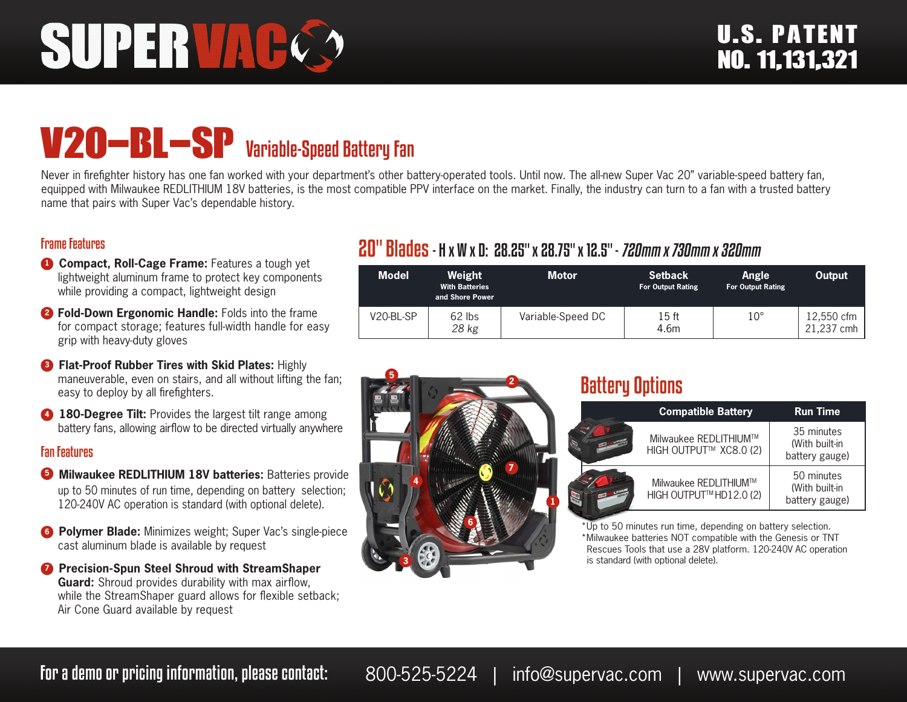# V20-BL-SP Variable-Speed Battery Fan

Never in firefighter history has one fan worked with your department's other battery-operated tools. Until now. The all-new Super Vac 20" variable-speed battery fan, equipped with Milwaukee REDLITHIUM 18V batteries, is the most compatible PPV interface on the market. Finally, the industry can turn to a fan with a trusted battery name that pairs with Super Vac's dependable history.

### Frame Features

- **1 Compact, Roll-Cage Frame:** Features a tough yet lightweight aluminum frame to protect key components while providing a compact, lightweight design
- **<sup>2</sup> Fold-Down Ergonomic Handle:** Folds into the frame for compact storage; features full-width handle for easy grip with heavy-duty gloves
- **8 Flat-Proof Rubber Tires with Skid Plates: Highly** maneuverable, even on stairs, and all without lifting the fan; easy to deploy by all firefighters.
- **4 180-Degree Tilt:** Provides the largest tilt range among battery fans, allowing airflow to be directed virtually anywhere

#### Fan Features

- **5** Milwaukee REDLITHIUM 18V batteries: Batteries provide up to 50 minutes of run time, depending on battery selection; 120-240V AC operation is standard (with optional delete).
- **6 Polymer Blade:** Minimizes weight; Super Vac's single-piece cast aluminum blade is available by request
- **<sup>***1***</sup> Precision-Spun Steel Shroud with StreamShaper Guard:** Shroud provides durability with max airflow, while the StreamShaper guard allows for flexible setback; Air Cone Guard available by request

# 20" Blades- H x W x D: 28.25" x 28.75" x 12.5" - 720mm x 730mm x 320mm

| <b>Model</b> | Weight<br><b>With Batteries</b><br>and Shore Power | Motor             | <b>Setback</b><br><b>For Output Rating</b> | Angle<br><b>For Output Rating</b> | Output                 |
|--------------|----------------------------------------------------|-------------------|--------------------------------------------|-----------------------------------|------------------------|
| V20-BL-SP    | $62$ lbs<br>28 kg                                  | Variable-Speed DC | 15 ft<br>4.6m                              | $10^{\circ}$                      | 12,550 cfm<br>.237 cmh |



## Battery Options

| <b>Compatible Battery</b>                        | <b>Run Time</b>                                |  |
|--------------------------------------------------|------------------------------------------------|--|
| Milwaukee REDLITHIUM™<br>HIGH OUTPUT™ XC8.0 (2)  | 35 minutes<br>(With built-in<br>battery gauge) |  |
| Milwaukee REDLITHIUM™<br>HIGH OUTPUT™ HD12.0 (2) | 50 minutes<br>(With built-in<br>battery gauge) |  |
|                                                  |                                                |  |

\*Up to 50 minutes run time, depending on battery selection. \*Milwaukee batteries NOT compatible with the Genesis or TNT Rescues Tools that use a 28V platform. 120-240V AC operation is standard (with optional delete).